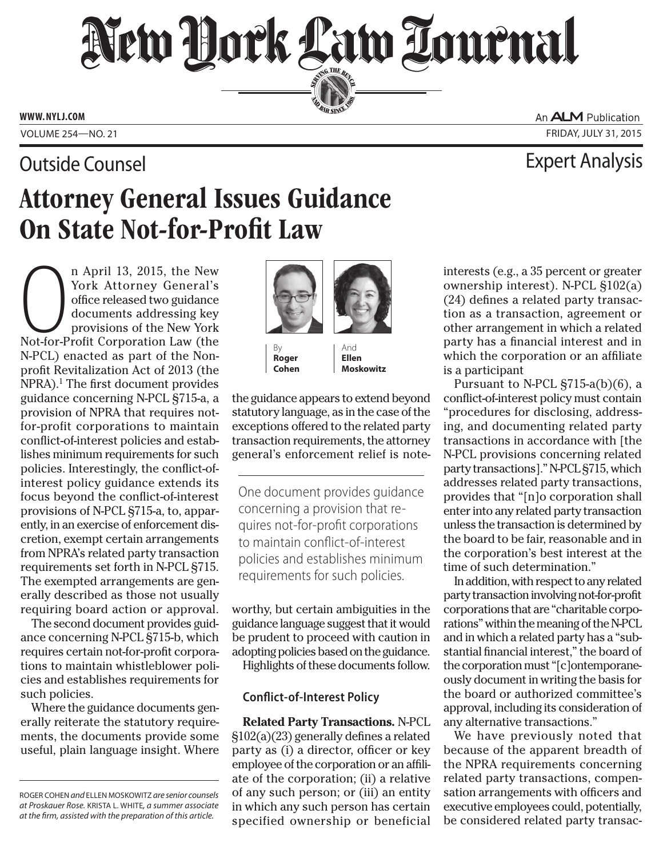# New Dock Law Lournal SERVING THE BET

**ED BAR SINCE 1888** 

**www. NYLJ.com**

### **Outside Counsel Counsel Analysis** Counsel Expert Analysis

An **ALM** Publication Volume 254—NO. 21 Friday, July 31, 2015

## Attorney General Issues Guidance On State Not-for-Profit Law

n April 13, 2015, the New<br>York Attorney General's<br>office released two guidance<br>documents addressing key<br>provisions of the New York<br>Not-for-Profit Corporation Law (the n April 13, 2015, the New York Attorney General's office released two guidance documents addressing key provisions of the New York N-PCL) enacted as part of the Nonprofit Revitalization Act of 2013 (the NPRA).<sup>1</sup> The first document provides guidance concerning N-PCL §715-a, a provision of NPRA that requires notfor-profit corporations to maintain conflict-of-interest policies and establishes minimum requirements for such policies. Interestingly, the conflict-ofinterest policy guidance extends its focus beyond the conflict-of-interest provisions of N-PCL §715-a, to, apparently, in an exercise of enforcement discretion, exempt certain arrangements from NPRA's related party transaction requirements set forth in N-PCL §715. The exempted arrangements are generally described as those not usually requiring board action or approval.

The second document provides guidance concerning N-PCL §715-b, which requires certain not-for-profit corporations to maintain whistleblower policies and establishes requirements for such policies.

Where the guidance documents generally reiterate the statutory requirements, the documents provide some useful, plain language insight. Where





By **Roger Cohen**

And **Ellen Moskowitz**

the guidance appears to extend beyond statutory language, as in the case of the exceptions offered to the related party transaction requirements, the attorney general's enforcement relief is note-

One document provides guidance concerning a provision that requires not-for-profit corporations to maintain conflict-of-interest policies and establishes minimum requirements for such policies.

worthy, but certain ambiguities in the guidance language suggest that it would be prudent to proceed with caution in adopting policies based on the guidance.

Highlights of these documents follow.

### **Conflict-of-Interest Policy**

**Related Party Transactions.** N-PCL §102(a)(23) generally defines a related party as (i) a director, officer or key employee of the corporation or an affiliate of the corporation; (ii) a relative of any such person; or (iii) an entity in which any such person has certain specified ownership or beneficial

interests (e.g., a 35 percent or greater ownership interest). N-PCL §102(a) (24) defines a related party transaction as a transaction, agreement or other arrangement in which a related party has a financial interest and in which the corporation or an affiliate is a participant

Pursuant to N-PCL §715-a(b)(6), a conflict-of-interest policy must contain "procedures for disclosing, addressing, and documenting related party transactions in accordance with [the N-PCL provisions concerning related party transactions]." N-PCL §715, which addresses related party transactions, provides that "[n]o corporation shall enter into any related party transaction unless the transaction is determined by the board to be fair, reasonable and in the corporation's best interest at the time of such determination."

In addition, with respect to any related party transaction involving not-for-profit corporations that are "charitable corporations" within the meaning of the N-PCL and in which a related party has a "substantial financial interest," the board of the corporation must "[c]ontemporaneously document in writing the basis for the board or authorized committee's approval, including its consideration of any alternative transactions."

We have previously noted that because of the apparent breadth of the NPRA requirements concerning related party transactions, compensation arrangements with officers and executive employees could, potentially, be considered related party transac-

Roger Cohen *and* Ellen Moskowitz *are senior counsels at Proskauer Rose.* Krista L. White*, a summer associate at the firm, assisted with the preparation of this article.*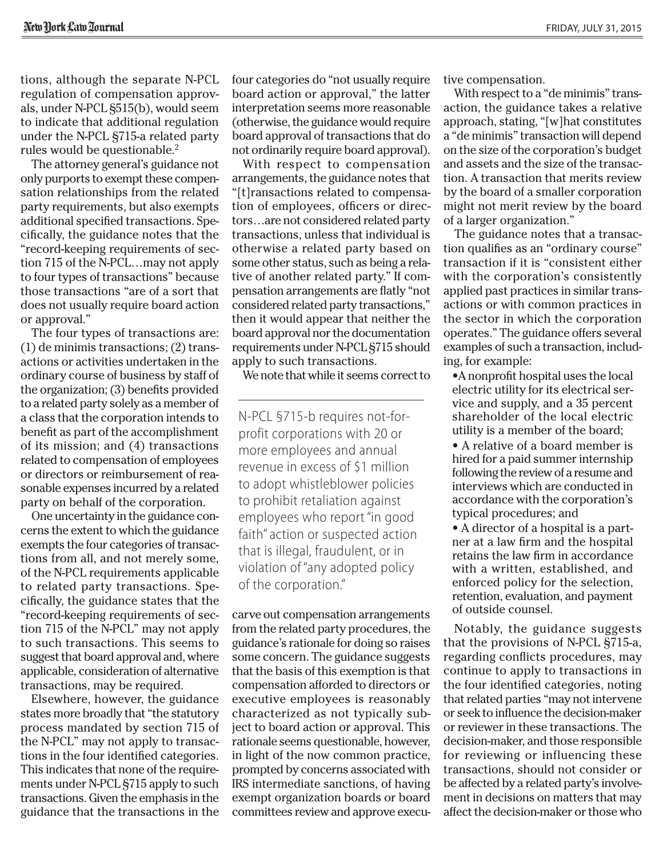tions, although the separate N-PCL regulation of compensation approvals, under N-PCL §515(b), would seem to indicate that additional regulation under the N-PCL §715-a related party rules would be questionable.<sup>2</sup>

The attorney general's guidance not only purports to exempt these compensation relationships from the related party requirements, but also exempts additional specified transactions. Specifically, the guidance notes that the "record-keeping requirements of section 715 of the N-PCL…may not apply to four types of transactions" because those transactions "are of a sort that does not usually require board action or approval."

The four types of transactions are: (1) de minimis transactions; (2) transactions or activities undertaken in the ordinary course of business by staff of the organization; (3) benefits provided to a related party solely as a member of a class that the corporation intends to benefit as part of the accomplishment of its mission; and (4) transactions related to compensation of employees or directors or reimbursement of reasonable expenses incurred by a related party on behalf of the corporation.

One uncertainty in the guidance concerns the extent to which the guidance exempts the four categories of transactions from all, and not merely some, of the N-PCL requirements applicable to related party transactions. Specifically, the guidance states that the "record-keeping requirements of section 715 of the N-PCL" may not apply to such transactions. This seems to suggest that board approval and, where applicable, consideration of alternative transactions, may be required.

Elsewhere, however, the guidance states more broadly that "the statutory process mandated by section 715 of the N-PCL" may not apply to transactions in the four identified categories. This indicates that none of the requirements under N-PCL §715 apply to such transactions. Given the emphasis in the guidance that the transactions in the four categories do "not usually require board action or approval," the latter interpretation seems more reasonable (otherwise, the guidance would require board approval of transactions that do not ordinarily require board approval).

With respect to compensation arrangements, the guidance notes that "[t]ransactions related to compensation of employees, officers or directors…are not considered related party transactions, unless that individual is otherwise a related party based on some other status, such as being a relative of another related party." If compensation arrangements are flatly "not considered related party transactions," then it would appear that neither the board approval nor the documentation requirements under N-PCL §715 should apply to such transactions.

We note that while it seems correct to

N-PCL §715-b requires not-forprofit corporations with 20 or more employees and annual revenue in excess of \$1 million to adopt whistleblower policies to prohibit retaliation against employees who report "in good faith" action or suspected action that is illegal, fraudulent, or in violation of "any adopted policy of the corporation."

carve out compensation arrangements from the related party procedures, the guidance's rationale for doing so raises some concern. The guidance suggests that the basis of this exemption is that compensation afforded to directors or executive employees is reasonably characterized as not typically subject to board action or approval. This rationale seems questionable, however, in light of the now common practice, prompted by concerns associated with IRS intermediate sanctions, of having exempt organization boards or board committees review and approve executive compensation.

With respect to a "de minimis" transaction, the guidance takes a relative approach, stating, "[w]hat constitutes a "de minimis" transaction will depend on the size of the corporation's budget and assets and the size of the transaction. A transaction that merits review by the board of a smaller corporation might not merit review by the board of a larger organization."

The guidance notes that a transaction qualifies as an "ordinary course" transaction if it is "consistent either with the corporation's consistently applied past practices in similar transactions or with common practices in the sector in which the corporation operates." The guidance offers several examples of such a transaction, including, for example:

•A nonprofit hospital uses the local electric utility for its electrical service and supply, and a 35 percent shareholder of the local electric utility is a member of the board;

• A relative of a board member is hired for a paid summer internship following the review of a resume and interviews which are conducted in accordance with the corporation's typical procedures; and

• A director of a hospital is a partner at a law firm and the hospital retains the law firm in accordance with a written, established, and enforced policy for the selection, retention, evaluation, and payment of outside counsel.

Notably, the guidance suggests that the provisions of N-PCL §715-a, regarding conflicts procedures, may continue to apply to transactions in the four identified categories, noting that related parties "may not intervene or seek to influence the decision-maker or reviewer in these transactions. The decision-maker, and those responsible for reviewing or influencing these transactions, should not consider or be affected by a related party's involvement in decisions on matters that may affect the decision-maker or those who